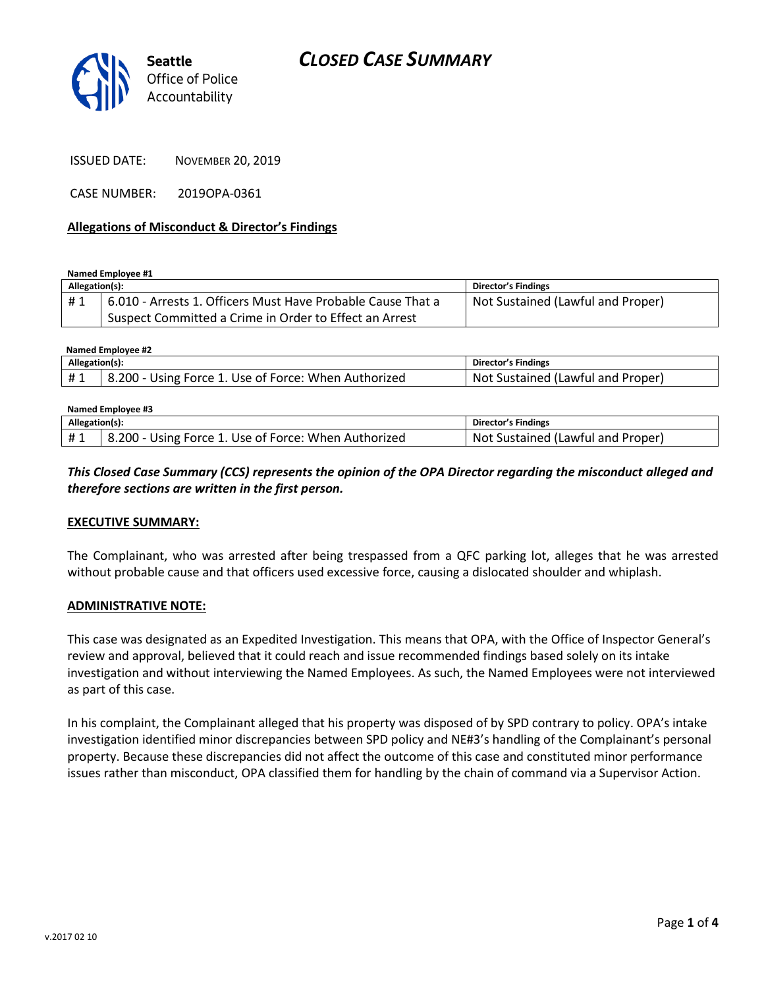

ISSUED DATE: NOVEMBER 20, 2019

CASE NUMBER: 2019OPA-0361

### **Allegations of Misconduct & Director's Findings**

**Named Employee #1**

| Allegation(s): |                                                             | <b>Director's Findings</b>        |
|----------------|-------------------------------------------------------------|-----------------------------------|
| #1             | 6.010 - Arrests 1. Officers Must Have Probable Cause That a | Not Sustained (Lawful and Proper) |
|                | Suspect Committed a Crime in Order to Effect an Arrest      |                                   |

| Named Emplovee #2 |                                                      |                                   |  |  |
|-------------------|------------------------------------------------------|-----------------------------------|--|--|
| Allegation(s):    |                                                      | Director's Findings               |  |  |
| #1                | 8.200 - Using Force 1. Use of Force: When Authorized | Not Sustained (Lawful and Proper) |  |  |

| Named Employee #3 |                                                      |                                   |  |  |
|-------------------|------------------------------------------------------|-----------------------------------|--|--|
| Allegation(s):    |                                                      | Director's Findings               |  |  |
| #1                | 8.200 - Using Force 1. Use of Force: When Authorized | Not Sustained (Lawful and Proper) |  |  |

### *This Closed Case Summary (CCS) represents the opinion of the OPA Director regarding the misconduct alleged and therefore sections are written in the first person.*

#### **EXECUTIVE SUMMARY:**

The Complainant, who was arrested after being trespassed from a QFC parking lot, alleges that he was arrested without probable cause and that officers used excessive force, causing a dislocated shoulder and whiplash.

#### **ADMINISTRATIVE NOTE:**

This case was designated as an Expedited Investigation. This means that OPA, with the Office of Inspector General's review and approval, believed that it could reach and issue recommended findings based solely on its intake investigation and without interviewing the Named Employees. As such, the Named Employees were not interviewed as part of this case.

In his complaint, the Complainant alleged that his property was disposed of by SPD contrary to policy. OPA's intake investigation identified minor discrepancies between SPD policy and NE#3's handling of the Complainant's personal property. Because these discrepancies did not affect the outcome of this case and constituted minor performance issues rather than misconduct, OPA classified them for handling by the chain of command via a Supervisor Action.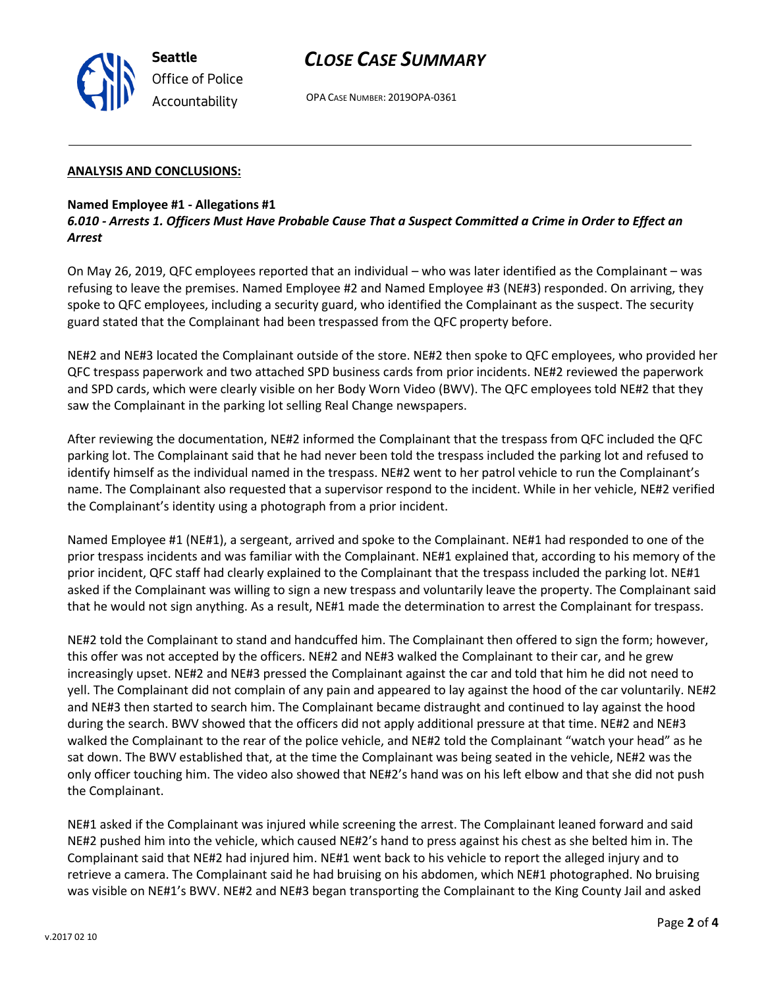## *CLOSE CASE SUMMARY*

OPA CASE NUMBER: 2019OPA-0361

### **ANALYSIS AND CONCLUSIONS:**

### **Named Employee #1 - Allegations #1**

*6.010 - Arrests 1. Officers Must Have Probable Cause That a Suspect Committed a Crime in Order to Effect an Arrest*

On May 26, 2019, QFC employees reported that an individual – who was later identified as the Complainant – was refusing to leave the premises. Named Employee #2 and Named Employee #3 (NE#3) responded. On arriving, they spoke to QFC employees, including a security guard, who identified the Complainant as the suspect. The security guard stated that the Complainant had been trespassed from the QFC property before.

NE#2 and NE#3 located the Complainant outside of the store. NE#2 then spoke to QFC employees, who provided her QFC trespass paperwork and two attached SPD business cards from prior incidents. NE#2 reviewed the paperwork and SPD cards, which were clearly visible on her Body Worn Video (BWV). The QFC employees told NE#2 that they saw the Complainant in the parking lot selling Real Change newspapers.

After reviewing the documentation, NE#2 informed the Complainant that the trespass from QFC included the QFC parking lot. The Complainant said that he had never been told the trespass included the parking lot and refused to identify himself as the individual named in the trespass. NE#2 went to her patrol vehicle to run the Complainant's name. The Complainant also requested that a supervisor respond to the incident. While in her vehicle, NE#2 verified the Complainant's identity using a photograph from a prior incident.

Named Employee #1 (NE#1), a sergeant, arrived and spoke to the Complainant. NE#1 had responded to one of the prior trespass incidents and was familiar with the Complainant. NE#1 explained that, according to his memory of the prior incident, QFC staff had clearly explained to the Complainant that the trespass included the parking lot. NE#1 asked if the Complainant was willing to sign a new trespass and voluntarily leave the property. The Complainant said that he would not sign anything. As a result, NE#1 made the determination to arrest the Complainant for trespass.

NE#2 told the Complainant to stand and handcuffed him. The Complainant then offered to sign the form; however, this offer was not accepted by the officers. NE#2 and NE#3 walked the Complainant to their car, and he grew increasingly upset. NE#2 and NE#3 pressed the Complainant against the car and told that him he did not need to yell. The Complainant did not complain of any pain and appeared to lay against the hood of the car voluntarily. NE#2 and NE#3 then started to search him. The Complainant became distraught and continued to lay against the hood during the search. BWV showed that the officers did not apply additional pressure at that time. NE#2 and NE#3 walked the Complainant to the rear of the police vehicle, and NE#2 told the Complainant "watch your head" as he sat down. The BWV established that, at the time the Complainant was being seated in the vehicle, NE#2 was the only officer touching him. The video also showed that NE#2's hand was on his left elbow and that she did not push the Complainant.

NE#1 asked if the Complainant was injured while screening the arrest. The Complainant leaned forward and said NE#2 pushed him into the vehicle, which caused NE#2's hand to press against his chest as she belted him in. The Complainant said that NE#2 had injured him. NE#1 went back to his vehicle to report the alleged injury and to retrieve a camera. The Complainant said he had bruising on his abdomen, which NE#1 photographed. No bruising was visible on NE#1's BWV. NE#2 and NE#3 began transporting the Complainant to the King County Jail and asked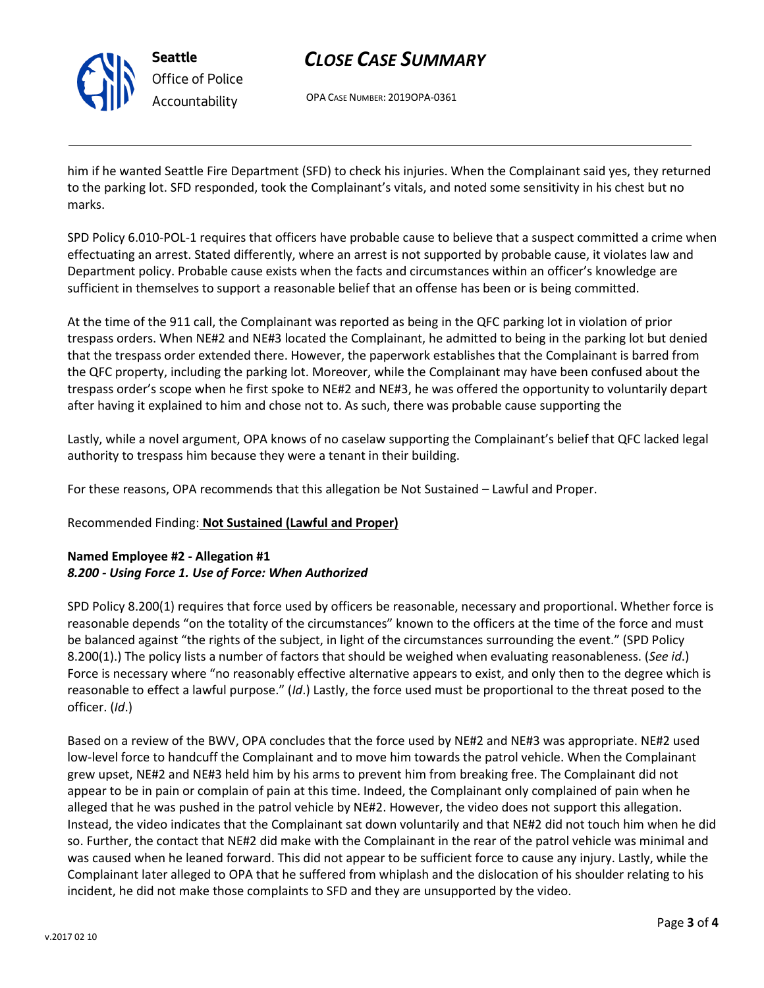

**Seattle** *Office of Police Accountability*

# *CLOSE CASE SUMMARY*

OPA CASE NUMBER: 2019OPA-0361

him if he wanted Seattle Fire Department (SFD) to check his injuries. When the Complainant said yes, they returned to the parking lot. SFD responded, took the Complainant's vitals, and noted some sensitivity in his chest but no marks.

SPD Policy 6.010-POL-1 requires that officers have probable cause to believe that a suspect committed a crime when effectuating an arrest. Stated differently, where an arrest is not supported by probable cause, it violates law and Department policy. Probable cause exists when the facts and circumstances within an officer's knowledge are sufficient in themselves to support a reasonable belief that an offense has been or is being committed.

At the time of the 911 call, the Complainant was reported as being in the QFC parking lot in violation of prior trespass orders. When NE#2 and NE#3 located the Complainant, he admitted to being in the parking lot but denied that the trespass order extended there. However, the paperwork establishes that the Complainant is barred from the QFC property, including the parking lot. Moreover, while the Complainant may have been confused about the trespass order's scope when he first spoke to NE#2 and NE#3, he was offered the opportunity to voluntarily depart after having it explained to him and chose not to. As such, there was probable cause supporting the

Lastly, while a novel argument, OPA knows of no caselaw supporting the Complainant's belief that QFC lacked legal authority to trespass him because they were a tenant in their building.

For these reasons, OPA recommends that this allegation be Not Sustained – Lawful and Proper.

## Recommended Finding: **Not Sustained (Lawful and Proper)**

## **Named Employee #2 - Allegation #1** *8.200 - Using Force 1. Use of Force: When Authorized*

SPD Policy 8.200(1) requires that force used by officers be reasonable, necessary and proportional. Whether force is reasonable depends "on the totality of the circumstances" known to the officers at the time of the force and must be balanced against "the rights of the subject, in light of the circumstances surrounding the event." (SPD Policy 8.200(1).) The policy lists a number of factors that should be weighed when evaluating reasonableness. (*See id*.) Force is necessary where "no reasonably effective alternative appears to exist, and only then to the degree which is reasonable to effect a lawful purpose." (*Id*.) Lastly, the force used must be proportional to the threat posed to the officer. (*Id*.)

Based on a review of the BWV, OPA concludes that the force used by NE#2 and NE#3 was appropriate. NE#2 used low-level force to handcuff the Complainant and to move him towards the patrol vehicle. When the Complainant grew upset, NE#2 and NE#3 held him by his arms to prevent him from breaking free. The Complainant did not appear to be in pain or complain of pain at this time. Indeed, the Complainant only complained of pain when he alleged that he was pushed in the patrol vehicle by NE#2. However, the video does not support this allegation. Instead, the video indicates that the Complainant sat down voluntarily and that NE#2 did not touch him when he did so. Further, the contact that NE#2 did make with the Complainant in the rear of the patrol vehicle was minimal and was caused when he leaned forward. This did not appear to be sufficient force to cause any injury. Lastly, while the Complainant later alleged to OPA that he suffered from whiplash and the dislocation of his shoulder relating to his incident, he did not make those complaints to SFD and they are unsupported by the video.